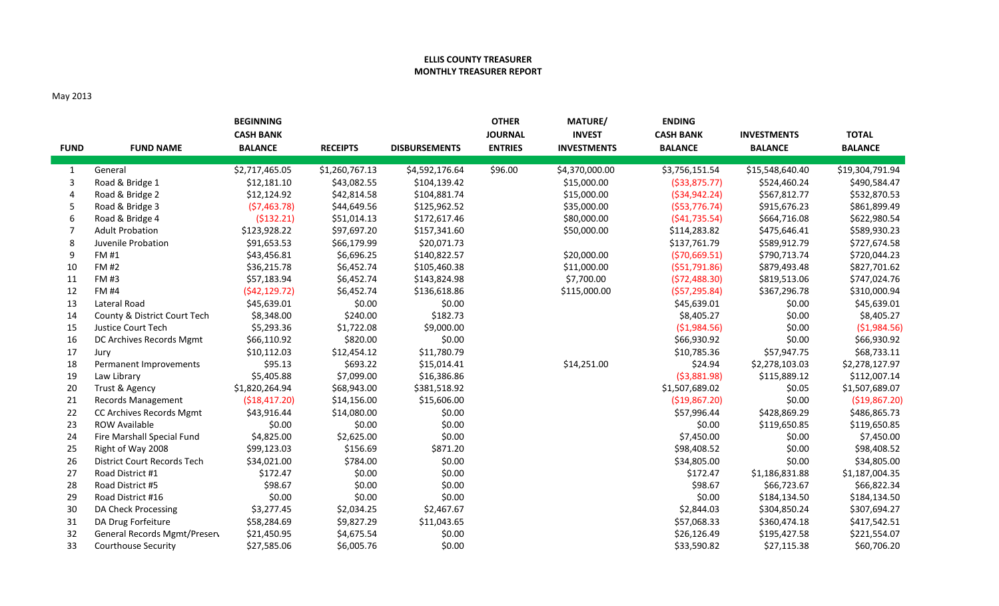## **ELLIS COUNTY TREASURER MONTHLY TREASURER REPORT**

## May 2013

| <b>FUND</b>    | <b>FUND NAME</b>                   | <b>BEGINNING</b><br><b>CASH BANK</b><br><b>BALANCE</b> | <b>RECEIPTS</b> | <b>DISBURSEMENTS</b> | <b>OTHER</b><br><b>JOURNAL</b><br><b>ENTRIES</b> | MATURE/<br><b>INVEST</b><br><b>INVESTMENTS</b> | <b>ENDING</b><br><b>CASH BANK</b><br><b>BALANCE</b> | <b>INVESTMENTS</b><br><b>BALANCE</b> | <b>TOTAL</b><br><b>BALANCE</b> |
|----------------|------------------------------------|--------------------------------------------------------|-----------------|----------------------|--------------------------------------------------|------------------------------------------------|-----------------------------------------------------|--------------------------------------|--------------------------------|
| 1              | General                            | \$2,717,465.05                                         | \$1,260,767.13  | \$4,592,176.64       | \$96.00                                          | \$4,370,000.00                                 | \$3,756,151.54                                      | \$15,548,640.40                      | \$19,304,791.94                |
| 3              | Road & Bridge 1                    | \$12,181.10                                            | \$43,082.55     | \$104,139.42         |                                                  | \$15,000.00                                    | ( \$33, 875.77)                                     | \$524,460.24                         | \$490,584.47                   |
| $\overline{4}$ | Road & Bridge 2                    | \$12,124.92                                            | \$42,814.58     | \$104,881.74         |                                                  | \$15,000.00                                    | ( \$34, 942.24)                                     | \$567,812.77                         | \$532,870.53                   |
| 5              | Road & Bridge 3                    | (57, 463.78)                                           | \$44,649.56     | \$125,962.52         |                                                  | \$35,000.00                                    | ( \$53,776.74)                                      | \$915,676.23                         | \$861,899.49                   |
| 6              | Road & Bridge 4                    | ( \$132.21)                                            | \$51,014.13     | \$172,617.46         |                                                  | \$80,000.00                                    | (541, 735.54)                                       | \$664,716.08                         | \$622,980.54                   |
| 7              | <b>Adult Probation</b>             | \$123,928.22                                           | \$97,697.20     | \$157,341.60         |                                                  | \$50,000.00                                    | \$114,283.82                                        | \$475,646.41                         | \$589,930.23                   |
| 8              | Juvenile Probation                 | \$91,653.53                                            | \$66,179.99     | \$20,071.73          |                                                  |                                                | \$137,761.79                                        | \$589,912.79                         | \$727,674.58                   |
| 9              | FM #1                              | \$43,456.81                                            | \$6,696.25      | \$140,822.57         |                                                  | \$20,000.00                                    | ( \$70,669.51)                                      | \$790,713.74                         | \$720,044.23                   |
| 10             | <b>FM#2</b>                        | \$36,215.78                                            | \$6,452.74      | \$105,460.38         |                                                  | \$11,000.00                                    | (551,791.86)                                        | \$879,493.48                         | \$827,701.62                   |
| 11             | <b>FM #3</b>                       | \$57,183.94                                            | \$6,452.74      | \$143,824.98         |                                                  | \$7,700.00                                     | (572, 488.30)                                       | \$819,513.06                         | \$747,024.76                   |
| 12             | <b>FM #4</b>                       | (\$42,129.72)                                          | \$6,452.74      | \$136,618.86         |                                                  | \$115,000.00                                   | (557, 295.84)                                       | \$367,296.78                         | \$310,000.94                   |
| 13             | Lateral Road                       | \$45,639.01                                            | \$0.00          | \$0.00               |                                                  |                                                | \$45,639.01                                         | \$0.00                               | \$45,639.01                    |
| 14             | County & District Court Tech       | \$8,348.00                                             | \$240.00        | \$182.73             |                                                  |                                                | \$8,405.27                                          | \$0.00                               | \$8,405.27                     |
| 15             | Justice Court Tech                 | \$5,293.36                                             | \$1,722.08      | \$9,000.00           |                                                  |                                                | (\$1,984.56)                                        | \$0.00                               | (\$1,984.56)                   |
| 16             | DC Archives Records Mgmt           | \$66,110.92                                            | \$820.00        | \$0.00               |                                                  |                                                | \$66,930.92                                         | \$0.00                               | \$66,930.92                    |
| 17             | Jury                               | \$10,112.03                                            | \$12,454.12     | \$11,780.79          |                                                  |                                                | \$10,785.36                                         | \$57,947.75                          | \$68,733.11                    |
| 18             | Permanent Improvements             | \$95.13                                                | \$693.22        | \$15,014.41          |                                                  | \$14,251.00                                    | \$24.94                                             | \$2,278,103.03                       | \$2,278,127.97                 |
| 19             | Law Library                        | \$5,405.88                                             | \$7,099.00      | \$16,386.86          |                                                  |                                                | (53,881.98)                                         | \$115,889.12                         | \$112,007.14                   |
| 20             | Trust & Agency                     | \$1,820,264.94                                         | \$68,943.00     | \$381,518.92         |                                                  |                                                | \$1,507,689.02                                      | \$0.05                               | \$1,507,689.07                 |
| 21             | Records Management                 | ( \$18,417.20)                                         | \$14,156.00     | \$15,606.00          |                                                  |                                                | (\$19,867.20)                                       | \$0.00                               | ( \$19, 867.20)                |
| 22             | CC Archives Records Mgmt           | \$43,916.44                                            | \$14,080.00     | \$0.00               |                                                  |                                                | \$57,996.44                                         | \$428,869.29                         | \$486,865.73                   |
| 23             | <b>ROW Available</b>               | \$0.00                                                 | \$0.00          | \$0.00               |                                                  |                                                | \$0.00                                              | \$119,650.85                         | \$119,650.85                   |
| 24             | Fire Marshall Special Fund         | \$4,825.00                                             | \$2,625.00      | \$0.00               |                                                  |                                                | \$7,450.00                                          | \$0.00                               | \$7,450.00                     |
| 25             | Right of Way 2008                  | \$99,123.03                                            | \$156.69        | \$871.20             |                                                  |                                                | \$98,408.52                                         | \$0.00                               | \$98,408.52                    |
| 26             | <b>District Court Records Tech</b> | \$34,021.00                                            | \$784.00        | \$0.00               |                                                  |                                                | \$34,805.00                                         | \$0.00                               | \$34,805.00                    |
| 27             | Road District #1                   | \$172.47                                               | \$0.00          | \$0.00               |                                                  |                                                | \$172.47                                            | \$1,186,831.88                       | \$1,187,004.35                 |
| 28             | Road District #5                   | \$98.67                                                | \$0.00          | \$0.00               |                                                  |                                                | \$98.67                                             | \$66,723.67                          | \$66,822.34                    |
| 29             | Road District #16                  | \$0.00                                                 | \$0.00          | \$0.00               |                                                  |                                                | \$0.00                                              | \$184,134.50                         | \$184,134.50                   |
| 30             | DA Check Processing                | \$3,277.45                                             | \$2,034.25      | \$2,467.67           |                                                  |                                                | \$2,844.03                                          | \$304,850.24                         | \$307,694.27                   |
| 31             | DA Drug Forfeiture                 | \$58,284.69                                            | \$9,827.29      | \$11,043.65          |                                                  |                                                | \$57,068.33                                         | \$360,474.18                         | \$417,542.51                   |
| 32             | General Records Mgmt/Presen        | \$21,450.95                                            | \$4,675.54      | \$0.00               |                                                  |                                                | \$26,126.49                                         | \$195,427.58                         | \$221,554.07                   |
| 33             | <b>Courthouse Security</b>         | \$27,585.06                                            | \$6,005.76      | \$0.00               |                                                  |                                                | \$33,590.82                                         | \$27,115.38                          | \$60,706.20                    |